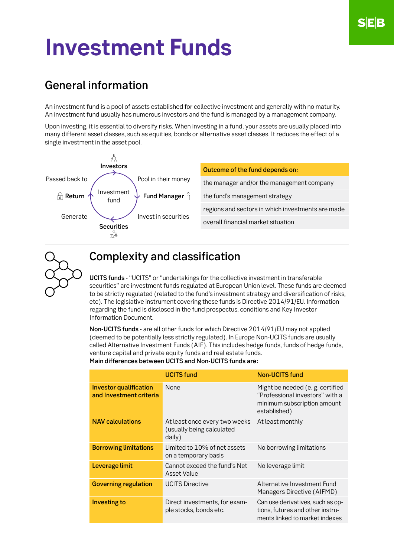# **Investment Funds**

# General information

An investment fund is a pool of assets established for collective investment and generally with no maturity. An investment fund usually has numerous investors and the fund is managed by a management company.

Upon investing, it is essential to diversify risks. When investing in a fund, your assets are usually placed into many different asset classes, such as equities, bonds or alternative asset classes. It reduces the effect of a single investment in the asset pool.



### Outcome of the fund depends on:

the manager and/or the management company

the fund's management strategy

regions and sectors in which investments are made

overall financial market situation

### Complexity and classification

UCITS funds - "UCITS" or "undertakings for the collective investment in transferable securities" are investment funds regulated at European Union level. These funds are deemed to be strictly regulated (related to the fund's investment strategy and diversification of risks, etc). The legislative instrument covering these funds is Directive 2014/91/EU. Information regarding the fund is disclosed in the fund prospectus, conditions and Key Investor Information Document.

Non-UCITS funds - are all other funds for which Directive 2014/91/EU may not applied (deemed to be potentially less strictly regulated). In Europe Non-UCITS funds are usually called Alternative Investment Funds (AIF). This includes hedge funds, funds of hedge funds, venture capital and private equity funds and real estate funds. Main differences between UCITS and Non-UCITS funds are:

|                                                          | <b>UCITS fund</b>                                                    | <b>Non-UCITS fund</b>                                                                                              |
|----------------------------------------------------------|----------------------------------------------------------------------|--------------------------------------------------------------------------------------------------------------------|
| <b>Investor qualification</b><br>and Investment criteria | None                                                                 | Might be needed (e. g. certified<br>"Professional investors" with a<br>minimum subscription amount<br>established) |
| <b>NAV calculations</b>                                  | At least once every two weeks<br>(usually being calculated<br>daily) | At least monthly                                                                                                   |
| <b>Borrowing limitations</b>                             | Limited to 10% of net assets<br>on a temporary basis                 | No borrowing limitations                                                                                           |
| Leverage limit                                           | Cannot exceed the fund's Net<br>Asset Value                          | No leverage limit                                                                                                  |
| <b>Governing regulation</b>                              | <b>UCITS Directive</b>                                               | Alternative Investment Fund<br>Managers Directive (AIFMD)                                                          |
| <b>Investing to</b>                                      | Direct investments, for exam-<br>ple stocks, bonds etc.              | Can use derivatives, such as op-<br>tions, futures and other instru-<br>ments linked to market indexes             |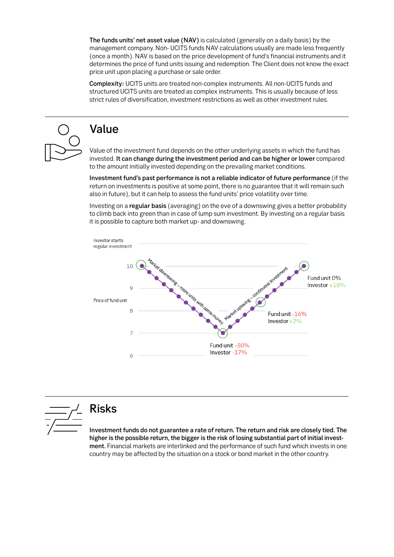The funds units' net asset value (NAV) is calculated (generally on a daily basis) by the management company. Non- UCITS funds NAV calculations usually are made less frequently (once a month). NAV is based on the price development of fund's financial instruments and it determines the price of fund units issuing and redemption. The Client does not know the exact price unit upon placing a purchase or sale order.

Complexity: UCITS units are treated non-complex instruments. All non-UCITS funds and structured UCITS units are treated as complex instruments. This is usually because of less strict rules of diversification, investment restrictions as well as other investment rules.

# Value

Value of the investment fund depends on the other underlying assets in which the fund has invested. It can change during the investment period and can be higher or lower compared to the amount initially invested depending on the prevailing market conditions.

Investment fund's past performance is not a reliable indicator of future performance (if the return on investments is positive at some point, there is no guarantee that it will remain such also in future), but it can help to assess the fund units' price volatility over time.

Investing on a regular basis (averaging) on the eve of a downswing gives a better probability to climb back into green than in case of lump sum investment. By investing on a regular basis it is possible to capture both market up- and downswing.





### Risks

Investment funds do not guarantee a rate of return. The return and risk are closely tied. The higher is the possible return, the bigger is the risk of losing substantial part of initial investment. Financial markets are interlinked and the performance of such fund which invests in one country may be affected by the situation on a stock or bond market in the other country.